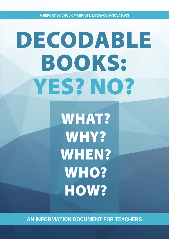**A report by Chuck marriott, Literacy innOvAtors**

# Decodable Books: Yes? No?

**WHAT?** Why? WHEN? WHO? HOW?

**An information document for teachers**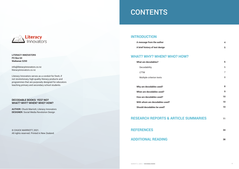### **INTRODUCTION**

**A message from the author**

**A brief history of text design**

### **WHAT? WHY? WHEN? WHO? HO**

**What are decodables?**

Decodability

LTTM

Multiple criterion texts

**Why are decodables used?** 

**When are decodables used?**

**How are decodables used?**

**With whom are decodables used?**

**Should decodables be used?**

### **RESEARCH REPORTS & ARTICLE SUMMARIES**

**REFERENCES**

**ADDITIONAL READING**

| W? |  |  |  |
|----|--|--|--|
|    |  |  |  |
|    |  |  |  |
|    |  |  |  |
|    |  |  |  |

 **4**

**5**

**6**

6

7

8

**8**

**9**



**Literacy Innovators PO Box 64 Waikanae 5250** 

info@literacyinnovators.co.nz literacyinnovators.co.nz

Literacy Innovators serves as a conduit for fresh, if not revolutionary, high-quality literacy products and programmes that are purposely designed for educators teaching primary and secondary school students.

### **Decodable Books: Yes? No? What? Why? When? Who? How?**

**AUTHOR:** Chuck Marriott, Literacy Innovators **DESIGNER:** Social Media Revolution Design

© Chuck Marriott, 2021. All rights reserved. Printed in New Zealand.

## **CONTENTS**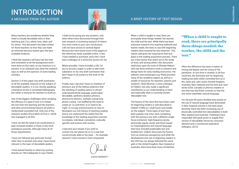Many teachers are wondering whether they need to include decodable texts in their teaching and, if so, where, how, when and for whom. This document has been written for those teachers so that they can make an informed decision based upon the best available evidence.

I think few teachers will have had the time and inclination to do the background work I have done on this topic, so my intention is to present, in an unbiased way, what the research says as well as the opinions of some leading scholars.

Section 2 of this paper has brief summaries of all the available research on the subject of decodable readers. It is not, strictly speaking, a literature review or annotated bibliography but rather a resource for teachers to build on.

One of the biggest challenges when studying the efficacy of a type of text is to isolate the text from the teaching and the teachers and other environmental factors all within a randomised controlled trial. Only one of the research studies (Price-Mohr & Price.C, 2020) has managed to do this.

I have not felt the need to be constrained to peer-reviewed studies or those in the most prestigious journals, although many do fit those requirements.

I have not followed any particular format other than to present only what I have found relevant to the topic of decodable readers.

I have leaned heavily on others by quoting directly as I felt inadequate to say it better. I shall not be giving you any answers, only what others have discovered through their own research or reviewing research of others. You must come to your own conclusions. I did not have access to several digital libraries but have found most of the papers in the references freely available online. A few I have needed to purchase, and a few I have had a colleague at a university access for me.

Where possible, I have included a URL for you to access a paper in order to add more substance to my very brief summaries that don't begin to do justice to the work of the authors.

Finally, may I say that I have no intention of joining in any of the tedious polemics that the teaching of reading seems to attract: code-based/whole language, predictable/ decodable, synthetic/analytic phonics, phonics/no phonics, multiple cueing/only phonic cueing. I am baffled by the need to create an 'us and them' or to need to be 'right', to occupy extreme points of view, to disrespect our rich history of teaching reading and to not understand the reality that the knowledge of the reading acquisition process is complex, individual, cumulative, culturally specific and evolves with society.

I welcome your emails if you wish to contact me, but please do so in a way that constructively adds to the topic – for example, research I have missed or have misquoted.

## INTRODUCTION A message from the author



### A brief history of TEXT DESIGN

Chuck

**CHUCK MARRIOTT** 

When a child is taught to read, there are principally three things needed: the teacher, the child and the text. While there has been extensive research into teaching methods and learner needs, the texts to use with beginning readers have received far less attention. This seems odd given the importance that text plays in the reading acquisition process. There are a few names that stand out in the study of texts, and among others, this document shall draw upon the work of Elfrieda Hiebert who has done extensive work to research and design texts for early reading instruction. Her website, www.textproject.org, freely provides many of her academic papers as well as a wealth of resources for teachers, parents and students. Heidi Mesmer, a close colleague of Hiebert, has also made a significant contribution to our understanding of texts and especially what is currently termed 'decodable' text.

The history of the texts that have been used for beginning readers is well described in Hiebert (1999) so I shall touch only briefly on the subject. Three types of text have been popular over time, each competing with the previous one with a different single focus (criterion): high-frequency words, phonically regular words and those based on meaningfulness and natural language that have included predictable text and levelled text. Hiebert discusses the history from an American perspective and while the development and use of beginning readers in the USA has not always followed the same path in the United Kingdom, New Zealand or Australia, there have been many similarities.

Often the difference has been a matter of timing and degree and the swing of the pendulum. At one time or another, in all four countries, the dominant text for beginning reading has been either controlled text as in the Janet and John series (United Kingdom, Australia, New Zealand) and the Dick and Jane series (USA, Canada) or phonics readers or text that has had fewer controls so that the text more resembles natural language.

For the past 50 years, levelled texts based on the use of natural language have dominated in New Zealand schools in the early years. Recently, there has been increasing use of phonically controlled text (decodables) in both New Zealand and Australia. Publishers have responded with great gusto to supply their version of decodables driven by consumer demand and a commercial imperative (Allington, 2013).

### "When a child is taught to read, there are principally three things needed: the teacher, the child and the text."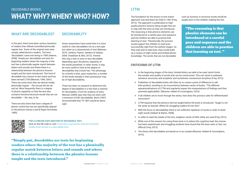The foundation for the lesson to text match approach was laid down by Chall in 1967 (Frey, 2012). The approach is predicated on highquality phonics lessons being taught that are in step with the texts as they are introduced. The reasoning is that phonics elements can be introduced at a careful pace and sequence and the children are able to practise that learning on text. Theoretically, the process would support the children to read texts successfully right from the earliest stages. As they read and re-read texts, they would build up a corpus of sight words and embed phonic knowledge. The words that are not decodable

such as function or structure words would be taught prior to the children reading the text.

"The reasoning is that phonics elements can be introduced at a careful pace and sequence and the children are able to practise that learning on text. "

### **What are decodables?**

In the past, there have been various iterations of readers that offered controlled phonically regular text. Some of the original ones were simply called phonics readers. The term 'decodables' came into being in 1995 (Adams, 2008). Simply put, decodables are texts for beginning readers where the majority of the text has a phonically regular match between letters and sounds and where there is a relationship between the phonics lessons taught and the texts introduced. This kind of decodable has a *lesson to text match* and has been termed LTTM (Mesmer, 1999, 2001). There are some texts that are almost totally phonically regular – *Pat can pat the fat cat and rat.* More frequently, there is a degree of phonic regularity so that the text also contains function/structure words that are not decodable — *the, was, to, be.* 

There are also texts that have a degree of phonic control but are not specifically aligned to the phonics lesson (Juel & Roper-Schneider, 1985).

### **Decodability**

Some researchers have noted that it is more useful to view decodables not as a *text type* but rather as a *characteristic* of text (Mesmer, 2019; Jenkins, Peyton, Sanders & Vadasy, 2004; Cheatham & Allor, 2012). Viewed this way, a text is more or less decodable depending upon the phonic regularity of the words presented. In other words, it may be more useful to look at the degree of decodability that a book has. The advantage for schools is that, upon inspection, a number of the books already in their possession may be of high decodability.

There has been no research to determine the degree of decodability in a text that is optimal for decodables. From her analysis of texts, Mesmer (2000) says that they are texts with a minimum of 64% decodability. Beck (1997) recommended that 70–80% would be about right.



## Decodable Books: WHAT? WHY? WHEN? WHO? HOW?

### **LTTM**

"Simply put, decodables are texts for beginning readers where the majority of the text has a phonically regular match between letters and sounds and where there is a relationship between the phonics lessons taught and the texts introduced."

### **Criticisms of LTTM:**

sentence structures and simplistic and sometimes nonsensical storylines (Frey, 2012).

operationalizations of LTTM and regularity impact the interpretations of findings and their

❖ If all children are to move through the series, how does this process cater for differentiated

 $\triangleq$  LTTM requires that the phonics item be taught before the book is introduced. Taught is not

- ❖ In the beginning stages of the texts, limited letters are able to be used, which limits the number and quality of words that can be constructed. This can result in awkward
- ❖ Publishers of decodable books will often try to create a point of difference to sell their product, resulting in an inconsistency between series of books. "The different potential applicability" (Mesmer, Hiebert & Cunningham, 2010)
- instruction?
- the same as learned. Where do struggling readers fit into this?
- ❖ With the focus on decodability, there is not sufficient repetition of words in order to build sight words (Hiebert & Martin, 2008).
- ❖ In order to meet the needs of the text, singleton words of little utility are used (Frey, 2012).
- ❖ While one of the reasons for using these texts is to reduce the cognitive load, the reverse difficult (Frey, 2012).
- ❖ The theory that decodables are based on is too simple (Mesmer, Hiebert & Cunningham, 2010).

has been experienced, and struggling students have found that the texts were, in fact, too

### **For a concise explanation of decodable text,**

click on the QR code or visit: textproject.org/teacher-educators/franklyfreddy/what-exactly-is-a-decodable-text/.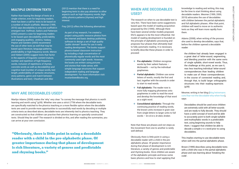### **Multiple criterion texts**

Rather than basing the design of texts on a single criterion, even for beginning readers, there has been a call for texts to be based on a number of inbuilt scaffolds. Mesmer (1999, 2010) says decodability is only one scaffold in emergent text. Hoffman, Sailors and Patterson (2002) present a case for beginning readers to be based upon decodability, predictability and engaging qualities. Jenkins, Vadasy, Peyton and Sanders (2003) recommend the use of other texts as well that may be based upon literature, language patterns, predictability or high-frequency words. Menon and Hiebert (2005) suggest texts that factor in the aspects of linguistic content (nature, number and repetition of high-frequency words, inclusion of repetitions of rhymes, concrete words as well as decodability) and cognitive load (number of unique words, text length, predictability of syntactic structures, story patterns, genre and match between illustrations and text). Cheatham and Allor

(2012) mention that there is a need for beginning texts to also pay attention to other aspects such as high-frequency words, highutility phonics patterns (rhymes) and high interest.

Frey (2012) offers the following alternatives:

As part of my research, I've created a project using public resource photos from the internet and basic desktop publishing software to design a set of high quality "public domain" books for use in early reading development. The books support phonics-based classroom instruction by including a high concentration of phonetically regular words and the most commonly used sight words. However, the books are written using pictures and stories that make sense, with simple language structures that support independent reading and language development. For more information visit: mustardseedbooks.org.

### **Why ARE decodables USED?**

Marilyn Adams (2008) makes the 'why' very clear: "to convey the message that phonics is worth learning and worth using" (p39). Whether one uses a strict LTTM where the decodable texts are specifically matched to the phonics teaching or a more flexible option where the decodable texts are used to provide more opportunities to successfully read words by decoding or multiple criteria texts as described above, decodable texts are inherently tied to phonics teaching. They are constructed so that children can practise their phonics learning on specially constructed texts. Should they be used? The research is divided on this, and after reading the summaries, you can arrive at your own conclusion.

### **When ARE decodables USED?**

This implies starting to use decodable texts when well into the partial alphabetic phase.

The research on when to use decodable text is very thin. There have been some suggestions based upon the model of reading acquisition proposed by Ehri (1995). Although there have been several similar models proposed, Ehri's appears to be the most influential. Her model of reading development is founded on the principle of alphabetic processing and proposes four phases that ultimately lead to fully automatic reading. It is necessary to briefly describe these phases in order to proceed:

- ❖ **Pre-alphabetic:** Children recognise words by their salient features – *McDonald's* – not by the individual graphemes.
- ❖ **Partial alphabetic:** Children use some letters of words, mostly the first and last, together with the sounds in order to start to read words.
- ❖ **Full alphabetic:** The reader now is more fully mapping phonemes onto graphemes in order to read the word and develop the knowledge of that word as a sight word.
- ❖ **Consolidated alphabetic:** Through the continuing practice of reading words, the known units increase in grain size from single letters to larger units to full words — *br-o-k-e-n, br-oken, broken.*

Note that these are phases and not steps as the movement from one to another is rarely well defined.

Obviously, there is little point in using a decodable reader with a child in the prealphabetic phase. Of greater importance during that phase of development is rich literature, a variety of genres and predictable and rhyming books. Once children are aware of the alphabetic principle and know some basic phonics and how to start applying that

knowledge to reading and writing, this may be the time to start thinking about using decodable readers. Mesmer (1999, 2000, 2019) advocates the use of decodables with children between the partial alphabetic and full alphabetic phases. After that point, children will need to move on to authentic texts as they will learn more rapidly from them.

Adams (2008), when writing of the process she used to develop decodables, says that, before the children opened a decodable reader:

the children had already been engaged in a great deal of letter-sound, segmenting, and blending practice with the same sorts of single syllable, short-vowel words. Thus, the challenge at this point, as we saw it, was less teaching individual letter-sound correspondences than leading children to make use of these correspondences in the course of connected reading and, through that, to build larger orthographic structures into their reading repertoire. (p39)

Mesmer, writing in her blog (blog.heinemann. com/fear-not-the-decodable-why-when-how), says:

Decodables should be used once children are extremely solid with all letter-sounds and are ready to fully decode. They should have a solid concept of word and be able to accurately point to both single-syllable and multisyllabic words in a predictable text, using beginning sounds to help them. I suggest that children be able to decode a simple c-v-c word prior to using decodables.

Brown (1999) describes using decodable texts with a child who was in the partial alphabetic phase and was learning about 'breaking the code'.

"Obviously, there is little point in using a decodable reader with a child in the pre-alphabetic phase. Of greater importance during that phase of development is rich literature, a variety of genres and predictable and rhyming books."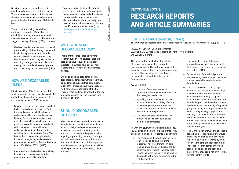So with virtually no research as a guide, an educated guess is the best one can do. There are no answers that point to an exact time decodables can be started or at what point in the phonics learning a child should be at.

The end point for using decodables is another consideration. If the idea is to get children reading more authentic and aesthetic text as soon as possible as Adams suggests, perhaps Mesmer (2019) is correct:

I believe that decodables are most useful for propelling children through the period in which they are learning to decode words or blend sounds together. They should be used when single syllable word decoding is the goal. Once a child can quickly blend words with taught patterns, decodables may not be necessary. (p116)

### **How ARE decodables USED?**

If texts using the LTTM design are used, it would make most sense to use the decodables right after a phonics lesson to practise the new learning. Mesmer (2019) suggests:

I do not recommend using highly decodable texts exclusively for two reasons. First, the sounding out that children have to do in a decodable is substantial and can be tiring. Second, there are other types of books that children benefit from - in particular, texts that integrate decodability with engagingness, natural language, and a paced repetition of words, often called multiple-criterion texts. (Note: The feature that is overwhelmingly missing from today's beginning reading texts is programmatic repetition of words [Foorman et al. 2004; Hiebert 2005].) (p117)

Pay attention to the level of decodability. In reality, texts do not exactly fit into neat categories of "decodable" vs.

WHAT? WHY? WHEN? WHO? HOW? WHAT? WHY? WHEN? WHO? HOW?

"not-decodable." Instead, decodability exists on a continuum, with some texts being more decodable and others being somewhat decodable. In the more decodable books, there is a really tight level of control with many words having specific letter/sound patterns. (blog. heinemann.com/topic/heidi-annemesmer)

### **WITH WHOM ARE decodableS USED?**

This is another area that has very little research support. The studies that have been done have focused on a variety of subjects – a number have been at-risk readers and a few have been with mixed classes.

Should all beginning readers be given decodable readers? Again, there is virtually no evidence to suggest this, only theory. Much of the evidence says that decodables work for some groups some of the time. There is more evidence to show that the use of decodables may be less effective with more-able children.

### **Should decodables be used?**

Given the paucity of research on the use of decodables and the wide variations in both research design and research questions as well as the overall conflicting results, it is difficult to answer this question with anything approaching certainty. The support for their use is therefore more theoretical than empirical. Section 2 of this paper does provide more detailed guidance and will be very helpful for anyone wondering how to proceed.

**Juel, C., & Roper-Schneider, D. (1985)**

The influence of basal readers on first grade reading. *Reading Research Quarterly,* 20(2), 134-152.

**Research design:** Quasi-experimental **SAMPLE SIZE:** 93 first grade students above the 40<sup>th</sup> percentile **Duration:** 8 months

## Decodable Books: RESEARCH REPORTS AND ARTICLE SUMMARIES

This is by far the most cited study of the effects of using decodable texts with beginning readers. The authors examined the impact of a range of text factors by comparing the use of two basal series – one based on decodable text and the other on highfrequency words.

### **Conclusions:**

- ❖ The type of text used exerted a significant influence on the students and the strategies used to read.
- ❖ By having a match between synthetic phonics and the decodability of words in beginning texts, there were more successful attempts to identify and use letter-sound correspondence.
- ❖ The types of words in beginning text influence a child's developing word identification strategies.

As with any study, there were limitations. Frey (2012) gives an insightful critique of this study, and I shall highlight a few points raised by him:

❖ The students in the study were selected to avoid low and high-performing students. They were from the middle reading group and scored above the 40<sup>th</sup> percentile on a reading readiness test. This then limited the ability to generalise the results of the data to students in the 1–39 percentiles.

- ❖ The decodable texts, while more phonically regular, were not aligned to the lessons – there was not a lesson to text match (LTTM).
- ❖ By the middle of the school year, the high-frequency text contained the same or more decodable words than the decodable texts.
- $\triangleq$  The data showed that both groups increased their ability to use decodingbased strategies. By the middle of the year, the high-frequency group was using more of those strategies than the decodable group. By the end of the year, the data showed that the high-frequency group was using primarily visual (whole word) strategies. Frey suggests that this may be an indication that the highfrequency group had actually developed more in their reading ability as they were automatically recognising the words by the end of the year.
- ❖ Finally and importantly, as the decodable books had more repetitions, one would expect the children to have developed the ability to read more words by sight. However, the data did not support that. Frey suggests that perhaps they had become so reliant on the decoding strategy that they could not shift to other ways to identify words.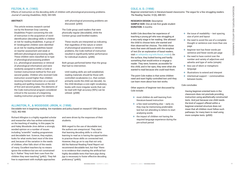### **Felton, R. H. (1993)**

Effects of instruction on the decoding skills of children with phonological-processing problems. *Journal of Learning Disabilities*, 26(9), 583-589.

### **Allington, R., & Woodside-Jiron, H. (1998)**

Decodable text in beginning reading: Are mandates and policy based on research? *ERS Spectrum*, 16(2), 462-468.

### **Abstract:**

This article reviews research carried out by the Bowman Gray Learning Disabilities Project concerning the role of instruction in the acquisition of wordidentification (decoding) skills in children at risk for reading disabilities. A group of 81 kindergarten children were identified as at risk for reading disabilities based on teacher assessment and weak or deficient phonological processing skills. These children were classified as to type of phonological-processing problem (i.e., phonological awareness or retrieval of phonological information) and were randomly assigned to either a Code or Context instructional method for first and second grades. Children who received Code instruction scored higher than children receiving Context instruction on a variety of reading and spelling measures at the end of first and second grades. The elements of the Code instructional program considered critical to the success of a beginning reading instruction program for children

with phonological processing problems are discussed. (p583)

The Code group used readers that were phonically regular (decodable), while the Context group used levelled readers.

These results are interpreted as indicating that regardless of the nature or extent of phonological awareness or retrieval problems, the Code method of instruction resulted in significantly better performance for individual students. (p586)

Both groups performed better than the group that had no intervention.

Until reading skills are well established, reading materials should be those with controlled vocabularies (i.e., that contain primarily words the child can decode). As the child develops a core sight vocabulary, books with more irregular words that can be read with high accuracy (90%) can be utilized. (p588)

Richard Allington is a highly regarded scholar and researcher who has written extensively on the teaching of reading. In this paper, he and Haley Woodside-Jiron deliver a strongly worded opinion on a number of issues including "scientific" reading programmes and decodable text. Science, they explain, looks for what works best *most of the time* and, because of the variation in the needs of children, often falls short of the needs of many. Excellent teachers by no means ignore the evidence but are not constrained by it. Rather "they took their cues from the children they were teaching" (p462). They felt free to experiment with multiple approaches

- $\triangleq$  the issue of readability text spacing, size of print and layout
- $\triangleq$  the need to avoid the use of a complete thought or sentence over more than one page
- ❖ beginner text has fewer words per sentence and fewer words per page
- ❖ the need to have control over the number and variety of adjectives and adverbs and type of verbs (simple)
- ❖ less use of idiom or metaphoric language
- ❖ illustrations to extend and interpret
- $\triangleq$  intertextual support commonalities between books.

and were driven by the responses of their students.

With regard to the use of decodable text, the authors are unequivocal. They state that learning decoding skills is critical to learning to read as is having the opportunities to practise those skills on connected text. However, they go on to say that not only did the National Reading Panel Report not recommend decodable text, but that "there is no evidence that creating the artificial but highly decodable texts that have pigs doing jigs is necessary to foster effective decoding proficiency" (p465).

### **Cole, A. D. (1998)**

Beginner-oriented texts in literature-based classrooms: The segue for a few struggling readers. *The Reading Teacher*, 51(6), 488-501.

**Research design:** Descriptive **Sample size:** One at-risk first grade student **Duration:** 4 months

Ardith Cole describes her experience of teaching a young girl who was struggling at a very early stage in her reading. She allowed the child to choose texts she wanted and then observed her choices. The child chose texts that were old basals with the simplest of text (for an explanation of basal readers, visit en.wikipedia.org/wiki/Basal\_reader). On the surface, they looked boring and hardly something that would entice or engage a reader. They were, however, accessible for this child, and in her eyes, they were what she *wanted* to read because she *could* read them.

The point Cole makes is that some children need and want highly controlled text until they can learn more about how text works.

Other aspects of beginner text discussed by Cole include:

- ❖ most children do well learning from literature-based instruction
- $\triangleq$  a few need something else early on, they may be memorising predictable text but not attending to letters to start analysing words
- $\triangleq$  the impact of children not having the required language experience during the pre-school period

Cole concludes:

Having beginner-oriented texts in the classroom does not preclude providing instruction using aesthetically constructed texts. And just because one child needs the kind of support offered within a beginner-oriented structure does not mean that all children must follow such pathways, for many learn to read using more complex texts. (p500)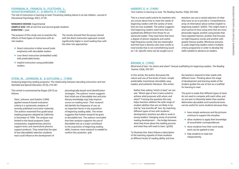### **Foorman, B., Francis, D., Fletcher, J., Schatschneider, C., & Mehta, P. (1998)**

**Research design:** Experimental **Sample size:** 285 at-risk first and second grade students **DURATION: 1 year** 

The role of instruction in learning to read: Preventing reading failure in at-risk children. *Journal of Educational Psychology*, 90(1), 37-55.

The purpose of this study was to examine the effects of three types of instruction with atrisk readers:

- ❖ Direct instruction in letter sound (code emphasis) with decodable readers.
- ❖ Less direct instruction (embedded code) with predictable books.
- ❖ Implicit instruction using predictable readers.

The results showed that the group tutored with the direct instruction approach scored significantly higher in word reading than with the other two approaches.

### **Stein, M., Johnson, B., & Gutlohn, L. (1999)**

Analyzing beginning reading programs: The relationship between decoding instruction and text. *Remedial and Special Education*, 20 (5), 275-287.

This article is summarised by Bogan (2012) as follows:

Stein, Johnson, and Gutlohn (1999) applied research-based evaluation criteria in a systematic analysis of recently published curriculum materials. The authors examined first grade basal reading programs adopted by California in December of 1996. The analysis was limited to the basal programs' basic components, supplementary phonics support texts, and stand-alone phonics support products. They noted that the type of text (decodable) selection students read could influence the development of

phonologically based word identification strategies. The authors' review suggests that initial use of decodable text and prior literacy knowledge may help improve scores on reading tests. Their research did identify the frequency of use, as an important factor in the acquisition of beginning reading skills. The review suggests that further research be given to decodable text. The authors concluded that their analysis supports the use of decodable text as a major contributor to the acquisition of beginning reading skills; however, more research is needed to confirm this assertion. (p4)

### **Hiebert, E. H. (1999)**

Text matters in learning to read. *The Reading Teacher*, 52(6), 552-566.

This is a most useful article for teachers who are unsure about how to meet the needs of beginning readers with the variety of texts that are now available. The author suggests that beginning readers need texts that are qualitatively different from those for an advanced reader. They need texts that have a degree of phonic regularity and useful high-frequency words, that are meaningful and that have a density ratio (new words to total words) that is not overwhelming (such as 1:5). Specific texts can be sought out or

teachers can use a varied selection of what they have so as to provide a "comprehensive array of information about written English to beginning readers" (p563). This might mean a short period of time using texts that are more phonically regular, another using books that have repeated rhymes, another that focuses on high-frequency words and another with greater literary quality. Whichever process is used, beginning readers need a multiplecriteria programme in order to develop the skills needed to advance as readers.

### **Brown, K. (1999)**

What kind of text—for whom and when? Textual scaffolding for beginning readers. *The Reading Teacher*, 53(4), 292-307.

In this article, the author discusses the nature and use of five kinds of texts: simple predictable, transitional, decodable, easy readers and authentic literature. She writes:

Rather than asking "which is best," we can ask, "Which *type* of text is best suited to achieve *what* purposes with *whom*, and *when*?" Framing the question this way helps teachers address the wide range of student abilities that are not likely to be met by "one-size-fits-all" text. By matching different types of text with students' development, teachers are able to work in young readers' changing zones of proximal reading development  $-$  the bridge between what they know about the reading process and what they still need to learn. (p293)

To illustrate this, there follows a description of the teaching vignette of three students at different levels of reading ability and how

the teachers respond to their needs with different texts. Thinking about the stage of development and learning needs of the student guides the use of text as a scaffold for learning to read.

The point is made that different types of texts do not need to compete with each other, and no one text is inherently better than another. *Well-written* decodable and transitional texts can be useful for some students because they:

- ❖ have simple sentences and the pictures continue to support the storyline
- ❖ allow students to apply their knowledge of sound-letter correspondences
- ❖ show students how their word study work can be applied to text
- ❖ help students to read text independently.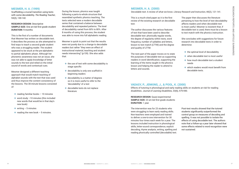### **Mesmer, H. A. (1999)**

Scaffolding a crucial transition using texts with some decodability. *The Reading Teacher*, 53(2), 130-142.

**Research design:** Descriptive **Sample size:** One at-risk first grade student **Duration:** 9 months

This is the first of a number of documents that Mesmer has written on decodable text. It describes the process as she attempted to find ways to teach a second grade student who was a struggling reader. The student appeared to be stuck at the pre-alphabetic to partial alphabetic phase. Although her phonemic awareness was not an issue, she was not able to apply knowledge of letter sounds to the text and relied on the initial sound of words and contextual cues.

Mesmer designed a different teaching approach that would match teaching of alphabet sounds with the text that was used and thus improve the content consistency of the lessons. The 30-minute lessons consisted of:

- $\triangleq$  reading familiar books 10 minutes
- $\triangleq$  word study -10 minutes (this included new words that would be in that day's new book)
- $\triangleq$  writing 5 minutes
- $\triangleleft$  reading the new book 5 minutes.
- $\triangleq$  the use of text with some decodability is stage specific
- ❖ decodability is only one scaffold in beginning readers
- ❖ decodability is a matter of degrees so it is more useful to refer to the 'decodability' of a text
- ❖ decodable texts do not replace literature.

During the lesson, phonics was taught following a parts-to-whole structure that resembled synthetic phonics teaching. The texts selected were a modern decodable series that contained a balance between decodability and repeated patterns. The level of decodability varied from 60% to 80%. After 8 months of using this process, the student was able to move into full alphabetic reading.

Mesmer is quick to point out that the results were not purely due to a change to decodable readers but rather "they were an effect of instructional material, teaching and student needs intersecting" (p139). She also adds that:

> **Research design:** Quasi-experimental **Sample size:** 23 at-risk first grade students **DURATION: 1 year**

### **Mesmer, H. A. (2000)**

Decodable text: A review of what we know. *Literacy Research and Instruction*, 40(2), 121-141.

This is a much-cited paper as it is the first review of the existing research on decodable text.

The author discusses the various features of text that have been used to describe decodable text: phonically regular words, the degree of regularity within texts, word frequency, number of syllables and letters, lesson to text match (LTTM) and the degree and quality of LTTM.

The next part of the paper moves on to state the purposes of decodable text as supporting readers in word identification, supporting the learning of the items taught in the phonics lesson and helping the reader to attend to letters and sounds.

The paper then discusses the literature pertaining to how the level of text decodability affects readers and when decodable text is most useful. Mesmer is insistent that, if decodable text is used, there must be a lesson to text match with the phonics instruction.

She concludes with suggestions for future research into decodable texts in order to determine:

- ❖ the optimal level of decodability
- ❖ when decodable text is most useful
- ❖ how much decodable text a student needs
- ❖ which readers would most benefit from decodable texts.

### **Vadasy, P., Jenkins, J., & Pool, K. (2000)**

Effects of tutoring in phonological and early reading skills on students at risk for reading disabilities. *Journal of Learning Disabilities*, 33(6), 579-590.

The intervention was for 23 students who were struggling to learn early reading skills. Non-teachers were employed and trained to deliver a one-to-one intervention for 30 minutes four times each week for a year. The lessons included instruction in phonological skills, letter-sound correspondence, explicit decoding, rhyme analysis, writing, spelling and reading phonically controlled (decodable) text.

Post-test results showed that the tutored students significantly outperformed the control group on measures of decoding and spelling. It was not possible to isolate the effects of using decodable text. The authors note that a follow-up a year later showed that some effects related to word recognition were not sustained.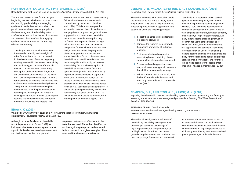### **Hoffman, J. V., Sailors, M., & Patterson, E. U. (2002)**

Decodable texts for beginning reading instruction. *Journal of Literacy Research*, 34(3), 269-298.

### **Jenkins, J. R., Vadasy, P., Peyton, J. A., & Sanders, E. A. (2003)** Decodable text – where to find it. *The Reading Teacher*, 57(2), 185-189.

The authors present a case for the design of beginning readers to be based on three factors: decodability, predictability and engaging qualities. A text is deemed decodable if the phonic elements have been taught prior to the book being read. Predictability refers to scaffold supports such as rhyme, picture clues and repeated phrases of words. Engaging qualities are what makes text interesting, relevant and exciting.

The danger here is that with an extreme focus on decodability we lose sight of other factors that must be considered in the development of text for beginning reading. Even within the area of decodability, the results suggest more careful work is needed. The instructional consistency conception of decodable text (i.e., words are deemed decodable based on the skills that have been previously taught) reflects a rational model of teaching and learning that makes sense at the surface level (Shulman, 1986). But as research on teaching has demonstrated over the past two decades, teaching and learning are not always, or even typically, rational. Indeed, teaching and learning are complex domains that reflect numerous influences and factors. The

assumption that teachers will systematically follow a basal scope and sequence is contradicted by the research (Hoffman et al., 1998). This is not to suggest that articulation between the skills and texts is inappropriate in program design, but it does suggest that a conception of decodable text that rests on this assumption may be flawed. It may prove a better strategy to locate the instructional consistency perspective for text within the instructional design construct where the progression of decoding practice and instruction across levels is in focus. This would leave decodability as a within-word dimension to sit alongside predictability as two text accessibility factors. The conception of decodability as a word-level factor that operates in conjunction with predictability to produce accessible texts is supported in our data. Instructional design as a text factor, in this view, is more attentive to the progression of within-word features across levels of text. Decodability as a text factor is placed alongside predictability to describe accessibility at a given point in time. The two constructs are clearly related but differ in their points of emphasis. (pp292-293)

> **RESEARCH DESIGN: Descriptive study Sample size:** 248 low and average-achieving second grade students **Duration:** 15 weeks

### **Brown, K. (2003)**

What do I say when they get stuck on a word? Aligning teachers' prompts with students' development. *The Reading Teacher,* 56(8), 720-733.

Although not specifically about decodable text, this paper adds to Brown (1999) by looking at what texts are most appropriate at a particular level of early reading development and the kinds of teacher prompts and

responses that are most effective with the texts that are used. The author classifies the word recognition prompts as code-oriented, holistic or eclectic and gives examples of how, when and for whom each may be used.

The authors discuss what decodable text is, the history of its use and the theory behind why to use it. They offer a way to determine whether a particular text is appropriate for a student by using the following process:

- 1. Inspect the phonic elements featured in a specific storybook.
- 2. Compare the featured elements with the phonics knowledge of individual students.
- 3. For independent reading practice, select storybooks containing phonic elements that students have mastered.
- 4. For assisted reading practice, select storybooks containing phonic elements that children are currently learning.
- 5. Before students read a storybook, note the book's non-decodable words and teach any that students do not already know. (p187)

Decodable texts represent one of several types of early reading texts, all of which are useful in promoting reading acquisition (Hiebert, 1999). Whereas decodable texts emphasize phonetic control, other kinds of texts emphasize literature, language patterns, predictability, or high-frequency words. Like many other aspects of reading instruction, research has yet to settle questions of when, how much, and for whom different text approaches are beneficial. Decodable storybooks may be useful for beginning readers needing persuasion that phonics has utility, for those requiring additional practice applying phonic knowledge, and for those struggling to secure word-specific graphophonemic linkages in memory. (pp187-188)

### **Compton, D. L., Appleton, A. C., & Hosp, M. K. (2004)**

Exploring the relationship between text-levelling systems and reading accuracy and fluency in second-grade students who are average and poor readers. *Learning Disabilities Research and Practice*, 19(3), 176-184.

The authors investigated the influence of decodability, readability, average number of words per sentence, percentage of high-frequency words and percentage of multisyllabic words. Fifteen texts were graded using these measures. Students then read one passage from each text each week

for 1 minute. The students were scored on accuracy and fluency. The results showed a correlation between accuracy and fluency with the number of high-frequency words. In addition, greater fluency was associated with greater percentages of decodable words.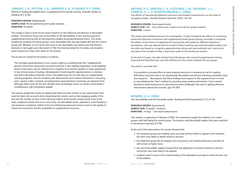### **Jenkins, J. R., Peyton, J. A., Sanders, E. A., & Vadasy, P. F. (2004)**

Effects of reading decodable texts in supplemental first-grade tutoring. *Scientific Studies of Reading*, 8(1), 53-85.

**Research design:** Experimental **Sample size:** 99 low-performing first grade students **Duration:** 25 weeks

This study is cited in most of the recent research on the influence and efficacy of decodable readers. The authors' focus was on the effect of the decodability of text during a period of supplemental tutoring with at-risk beginning readers by paraprofessional tutors. The study divided the students into three groups: more decodable (39), less decodable (40) and the control group (20). Whether or not a book was more or less decodable was based upon the phonics elements to be taught up to that point (LTTM) The tutoring lasted for 25 weeks, and students were tutored four times each week for 30 minutes.

The results are stated by the authors as follows:

**Research design:** Quasi-experimental **Sample size:** 298 – two cohorts over 2 years of at-risk first grade students **DURATION: 2 years** 

The strongest generalizations of our results might go something like this. Supplemental phonics instruction along with successful practice in text reading (regardless of decodability levels of the texts) may be sufficient for a majority of at-risk first graders to reach grade-level in two critical areas of reading—development of word-specific representations in memory and skill in decoding unfamiliar words. Decodable texts do not add value to supplemental tutoring programs, even for students who demonstrate more serious limitations in acquiring print–speech codes. However, accepting these generalizations overlooks an important fact; although effect sizes for the text variable were exceedingly small, our result is essentially a nondifference. (p81) [emphasis added]

> **Research design:** Experimental **Sample size:** 23 grade 1 students **DURATION:** 14 days – 20-minute daily lessons

The authors qualify the results by adding that there are other factors in text construction that must be taken into account when interpreting the results, such as the engaging quality of the text and the number of each of the following: tokens (total words), unique words (new to the text), singletons (words that occur only once), non-decodable words, repetitions, word frequency and sentence complexity. Added to this are influencing classroom factors such as the quality of classroom instruction and the availability of supplemental resources.

### **Mathes, P. G., Denton, C. A., Fletcher, J. M., Anthony, J. L., Francis, D. J., & Schatschneider, C. (2005)**

The effects of theoretically different instruction and student characteristics on the skills of struggling readers. *Reading Research Quarterly*, 40(2), 148-182.

This study was multidimensional in its investigation. Firstly, it looked at the effects of combining enhanced classroom instruction with supplemental small group tutoring. Secondly, it compared the effects of two forms of supplemental tutoring that were based on different theoretical orientations. One was aligned with the model of direct teaching and used decodable readers, and the other was based on a cognitive-apprenticeship theory and used authentic text. Instruction took place from October to May, 5 days each week for 40 minutes per session.

At the end of 2 years, the data showed that both groups who received supplemental tutoring improved and that there was very little difference in the results between the two groups.

The authors conclude that:

it is possible to provide effective early reading instruction to students at risk for reading difficulties using text that is not phonetically decodable and without following a detailed scope and sequence … We propose that these findings lend support to the argument that it is time to stop debating the "best" method for providing early reading intervention. Time is better devoted to determining how to overcome the great challenges that exist in getting effective interventions placed into schools. (pp179-180)

### **Mesmer, H. A. (2005)**

Text decodability and the first-grade reader. *Reading and Writing Quarterly*, 21(1), 61-86.

This study is a replication of Mesmer (1999). The researcher taught the children in six small groups, with half being the control group. The lessons used decodable readers that were matched to the phonics teaching (LTTM).

At the end of the intervention, the results showed that:

❖ the treatment group were slightly more accurate and less likely to appeal to the examiner

- but were more likely to repeat words or phrases
- ❖ the treatment group did not display more autonomy in all reading behaviours and did not self-correct at higher rates
- ❖ the use of decodable readers ensured that the application of lessons learned in phonics instruction was more likely to be applied
- of decodables.

❖ students need to have a firm understanding of the alphabetic principle to make the best use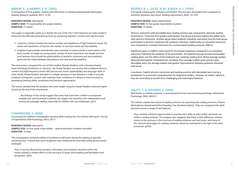### **Menon, S., & Hiebert, E. H. (2005)**

A comparison of first graders' reading with little books or literature-based basal anthologies. *Reading Research Quarterly*, 40(1), 12-38.

**Research design:** Descriptive **Sample size:** 75 mixed-ability first grade students **Duration:** 15 weeks

This paper is especially useful as it details the use of the TExT (Text Elements by Task) model to determine the difficulty presented by texts by examining linguistic content and cognitive load:

- $\triangleq$  Linguistic content includes the nature, number and repetitions of high-frequency words, the nature and repetitions of rhymes, the number of concrete words and decodability.
- ❖ Cognitive load includes word density ratios (number of unique words to total words in the text), number of single occurring words, number of word repetitions, text length and text level features that include the predictability of syntactic structures and story patterns, genre and the match between illustrations, text and word decodability.

**SAMPLE SIZE:** 35 first grade mixed ability – special education students excluded **Duration:** 12 days

The intervention compared the use of little readers (Ready Readers) with a literature-based basal anthology (Invitations to Literacy). The Ready Readers are constructed to balance phonics content and high-frequency words with picture-text match, predictability and language style. In other words, Ready Readers attended to multiple elements of text features in order to provide a balance of linguistic content with cognitive load. Invitations to Literacy is more focused on developing listening skills, vocabulary and literature appreciation.

The results showed that the students who were taught using the Ready Readers achieved higher results by the end of the intervention.

… the findings of this study suggest that texts that have been crafted to incorporate multiple text- and word-level scaffolds can support the transition into independent word solving and passage reading, especially for children who are challenged. (p37)

### **Cunningham, A. (2006)**

Accounting for children's orthographic learning while reading text: Do children self-teach? *Journal of Experimental Child Psychology*, 95(1), 56-77.

### **Research design:** Descriptive

This investigation tested the ability of students to self-teach during the reading of typically connected text. It found that word recognition was influenced by more than solely phonic based strategies.

Thus, it can be inferred that semantic information and syntactic structure within the stories exerted a reliable effect on the accuracy of target word reading and facilitated word recognition. (p65)

### **Beverly, B. L., Giles, R. M., & Buck, K. L. (2009)**

First-grade reading gains following enrichment: Phonics plus decodable texts compared to authentic literature read aloud. *Reading Improvement*, 46(4), 191-205.

**Research design:** Quasi-experimental **Sample size:** 32 first grade mixed-ability students **Duration:** 15 weeks

Phonics instruction with decodable texts reading practice was compared to alternate reading enrichments. Thirty-two first-graders participated. One group practised reading decodable texts after phonics instruction. Another group heard authentic literature read aloud, and the third group participated in phonics combined with authentic literature. Additionally, an untreated classroom was compared to a treated classroom for a school-based reading measure, DIBELS.

Significant gains on DIBELS were found for the treated classroom compared to an untreated classroom following the semester of the enrichment. All treatment groups showed measurable reading gains, but the effect of the treatment text varied by reading level. Below-average readers demonstrated greater comprehension increases than average readers given phonics plus decodable texts, but average readers had greater improvements following authentic literature read aloud.

Conclusion: Explicit phonics instruction and reading practice with decodable texts can be a prerequisite to successful comprehension for beginning readers. However, as readers advance, they are more likely to benefit from challenging and meaningful literature.

### **Solity, J., & Vousden, J. (2009)**

Real books vs reading schemes: A new perspective from instructional psychology. *Educational Psychology*, 29(4), 469-511.

The authors explore the nature of reading schemes by examining two reading schemes, Rhyme Word (phonic based) and Oxford Reading Tree (levelled readers). They are compared with adult literature across a range of text features.

Thus, children will have opportunities to practise their skills as often within real books as within a reading scheme. The analysis also suggests that there is little difference, despite claims to the contrary, in the structure of reading schemes and real books, and many of the claimed advantages for reading schemes cannot be maintained in the light of the data presented. (p503)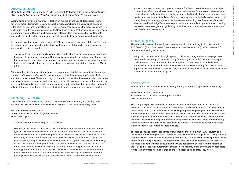### **Adams, M. (2008)**

Decodable text: Why, when, and how? In E. H. Hiebert & M. Sailors (Eds.), *Finding the right texts: What works for beginning and struggling readers* (pp. 23-46). New York, NY: Guilford Press.

Adams gives a very useful historical reflection on the design and use of decodables. There follows a detailed rationale for using decodable readers, including a discussion of the muchcited study by Juel and Roper-Schneider (1985). Adams then describes the process she and colleagues went through when designing the Open Court readers that became one of two reading programmes adopted for use in classrooms in California. She emphasises the need for letter sounds to be taught before they are used in texts by students in kindergarten and grade one.

In contrast to a strict lesson to text match (LTTM), she advocated (unsuccessfully) for the texts to contain basic consonants from the start. In addition to contributing to a problem-solving approach to reading it would:

**Research design:** Descriptive **Sample size:** 74 mixed-ability grade 1 students **DURATION:** 1 year

… allow us to exercise word families more richly and flexibly, thus discouraging children from trying to rote memorise their way to literacy, while hastening decoding habit and, through that, the growth of the underlying orthographic representations. Besides which, we argued, nobody had ever seen a child whose inventive spelling extended only through the letter *Mm* on *Mm* day. (p39)

With regard to high-frequency irregular words (structure words) that are essential at the earliest stages (*to, the, was, you, they, are, is*), she recommends that they be taught before the child encounters them in text. The overarching consideration is that, after being taught the use of letter sounds in phonics lessons, the student should then be able to practise the use of that knowledge in text and thus read it successfully. Adams concludes with a caution that decodable texts are for a limited time and also that the difficulty of a text depends upon more than just decodability.

### **Mesmer, H. A. (2010)**

Textual scaffolds for developing fluency in beginning readers: Accuracy and reading rate in qualitatively levelled and decodable text. *Literacy Research and Instruction*, 49(1), 20-39.

This article is summarised by Frey (2012) as follows:

Mesmer (2010) includes a detailed review of the limited literature on the effects of different types of text on reading development in an attempt to address what she describes as the muddled evidentiary picture regarding the relative benefits of leveled and decodable texts in supporting accuracy and fluency. Mesmer worked with 74 1<sup>st</sup> grade students, having them read an appropriately leveled decodable text as well as an appropriately leveled qualitativelyleveled text at four different points during a school year. She analyzed student reading data for accuracy and fluency hoping to clarify the effect of different types of texts on student reading performance. Her results, however, were mixed and served to further confound the debate. Data from the first set of students showed they were significantly more accurate reading decodable texts vs. the qualitatively-leveled texts. Data from the second set of

students, however, showed the opposite outcome. For the first set of students, practice had no significant effect on their reading accuracy scores whereas for the second set of students, practice had a significant effect on reading accuracy. Additionally, both sets of students read the decodable texts significantly less fluently than they read qualitatively-leveled texts  $-$  both during their initial readings and across all subsequent retesting over the course of the year. Mesmer also found a significant text by practice interaction, indicating that students reading the leveled texts were getting significantly more fluent with practice than were students who read the decodable texts. (p13)

### **Adams, M. (2011)**

The relation between alphabetic basics, word recognition, and reading. In S. J. Samuels & A. E. Farstrup (Eds.), *What research has to say about reading instruction* (pp4-24). Newark, DE: International Reading Association.

Many basic function words in English pose problems for young readers in two ways. First, these words are poorly distinguished orally ("I want a glass uh milk"). Second, many sport spelling–sound correspondences that are irregular, or at least sophisticated relative to entry-level phonics standards. Because these words arise so frequently (and take on new importance) in written text, it is wise to help students master their spellings and usages before decodable texts are introduced. (p19)

### **Frey, R. (2012)**

Rethinking the role of decodable texts in early literacy instruction (Unpublished PhD thesis).

**Research design:** Descriptive **Sample size:** 47 mixed-ability first grade students **Duration:** 5 months

This study is especially interesting as it presents a number of questions about the use of decodable books that are used within an LTTM format. Frey investigated the use of decodable books with 47 first grade students who were being taught reading using decodable readers that were matched to the items taught in the phonics lessons. He met with the students twice each week over a period of 5 months. He listened to them read from the decodable reader that they had most recently had during instructional reading. He made a detailed record of their reading including substitutions, omissions, insertions and refusals. If a student could not read a word within 3 seconds, the student was told the word.

The results showed that the top tercile of students read the books with 100% accuracy and gained little from reading the texts. The middle tercile made moderate gains and clearly benefited from the texts in terms of reading accuracy, although their error patterns showed potential issues for automatic word processing. The bottom tercile was the most concerning as the error rate indicated the books were too difficult and they were not learning enough from the reading of the texts to increase their automaticity or fluency. The majority of the errors were on decodable words. This error rate was higher than on the less-decodable high-frequency words.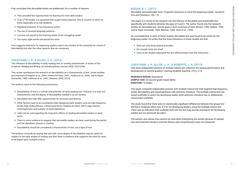Frey concludes that decodable books are problematic for a number of reasons:

- ❖ They provided few opportunities for learning for more able readers.
- ❖ In an LTTM model, it is assumed that taught means learned. This is counter to what we know, especially of at-risk students.
- ❖ Repeated inclusion of low-frequency words.
- ❖ The use of unusual language patterns.
- ❖ Lessons not paced to the learning needs of the struggling reader.
- ❖ Too many sight words introduced too soon.

Frey suggests that texts for beginning readers need to be mindful of the necessity for a level of decodability but also the other aspects that are necessary.

### **Cheatham, J. P., & Allor, J. H. (2012)**

The influence of decodability in early reading text on reading achievement: A review of the evidence. *Reading and Writing: An Interdisciplinary Journal*, 25(9), 2223-2246

This review synthesises the research on decodability as a characteristic of text. Seven studies are examined (Compton et al., 2004; Hiebert & Fisher, 2007; Jenkins et al., 2004; Juel & Roper-Schneider, 1985; Hoffman et al., 2001; Mesmer, 2005, 2010).

The authors came to the following conclusions:

- $\triangleq$  there are only three empirical studies
- ❖ the sample sizes are small
- ❖ none of the studies separated the text effectiveness from the instruction.

- ❖ Decodability of text is a critical characteristic of early reading text. However, it is only one characteristic and the degree of decodability needed is as yet unclear.
- ❖ Decodable text may offer opportunities for accuracy and fluency.
- ❖ Other factors need to be considered when designing early readers such as high-frequency words, high-utility phonics, critical word factor (Hiebert & Fisher, 2007), high interest, meaningfulness and number of word repetitions.
- ❖ Little can be said regarding the long-term effects of reading decodable readers in early years.
- ❖ There is some evidence to suggest that decodable readers are best used during the partial and full alphabetic phases in reading.
- ❖ Decodability should be considered a characteristic of text, not a type of text.

The authors conclude by saying that text with some degree of decodability may be useful for readers in the early stages of reading and that there is evidence that supports the need for texts to be based upon multiple criteria.

### **Bogan, B. L. (2012)**

Decodable and predictable texts: Forgotten resources to teach the beginning reader. *Journal of Arts and Commerce*, 1(6), 1-8.

This paper is a review of the research into the efficacy of decodable and predictable text, specifically with students between the ages of 5 and 8. The author found only five research studies on decodable text, and he gives a short summary of each (Brown, 1999; Hiebert, 1999; Juel & Roper-Schneider, 1985; Mesmer, 1999; Stein et al., 1999).

He concluded that, in each of these studies, decodable text was found to be useful for the beginning reader. He writes that the three limitations to these studies are that:

### **Cheatham, J. P., Allor, J. H., & Roberts, J. K. (2013)**

How does independent practice of multiple-criteria text influence the reading performance and development of second graders? *Learning Disability Quarterly*, 37(1), 3-14.

**Research design:** Descriptive **Sample size:** 62 second grade mixed ability **Duration:** 10 weeks

This study compared independent practice with multiple-criteria text that targeted high-frequency words, decodability and meaningfulness with authentic literature. The multiple-criteria text has inbuilt scaffolds to assist the developing reader while authentic literature has no deliberately constructed scaffolds.

The study found that there were no statistically significant differences between the groups but did find a moderate effect size of 0.67 for developing readers using the multiple-criteria text. There was an indication that scaffolds built into the text may provide assistance for developing readers but not advanced decoders.

The authors also advise that caution be used when interpreting the results because of sample size and treatment duration and that fluency and comprehension were not measured.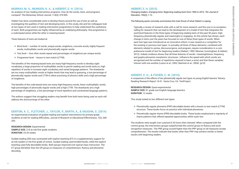### **Murray, M. S., Munger, K. A., & Hiebert, E. H. (2014)**

An analysis of two reading intervention programs: How do the words, texts, and programs compare? *The Elementary School Journal*, 114(4), 479-500.

Hiebert has done considerable work to develop theory around the use of text as well as investigating the qualities of text and developing texts. In this study, she and her colleagues look at two types of text used in reading intervention programmes to help understand the usefulness of each. Both programmes are highly influenced by an underlying philosophy. One programme is a code-based series while the other is meaning based.

Three features of texts are looked at:

- ❖ Word level number of words, unique words, singletons, concrete words, highly frequent words, multisyllabic words and phonetically regular words.
- $\triangleq$  Text level how often words repeat and percentages of singletons per unique words.
- ❖ Programme level lesson to text match (LTTM).

The benefits of the meaning-based texts are many high-frequency words to develop sight vocabulary, a large proportion of multisyllabic words to permit reading real words early on, high repetition of words to increase sight vocabulary and varied language patterns. The drawbacks are too many multisyllabic words at higher levels that may lead to guessing, a low percentage of phonetically regular words and LTTM to allow practising of phonics skills and a high percentage of singletons.

The benefits of the code-based texts are many high-frequency words, fewer multisyllabic words, high percentages of phonically regular words and a high LTTM. The drawbacks are a high percentage of singletons, a low percentage of word repetition and constrained language patterns.

The authors suggest that struggling readers may benefit from both texts being used as each will address the shortcomings of the other.

### **Denton, A. C., Fletcher, J., Taylor, P., Barth, A., & Vaughn, S. (2014)**

An experimental evaluation of guided reading and explicit interventions for primary-grade students at-risk for reading difficulties, *Journal of Research on Educational Effectiveness*, 7(3), 268- 293.

**Research design:** Experimental **Sample size:** 218 at-risk first grade students **Duration:** 23-25 weeks

Guided reading (GR) was contrasted with explicit teaching (ET) in a supplementary support for at-risk readers in the first grade of school. Guided reading used levelled books, while the explicit teaching used fully decodable books. Both groups improved over typical class instruction. The ET group did better than the GR group on measures of comprehension, fluency and phonemic decoding.

### **Hiebert, E. H. (2015)**

Changing readers, changing texts: Beginning reading texts from 1960 to 2010. *The Journal of Education*, 195(3), 1-13.

The following quote concisely summarises the main thrust of what Hiebert is saying:

Typically, a review of research ends with a call for more research, and this one is no exception, calling for research that can lead to the development of a model of text that integrates the word-level features in the three types of beginning reading texts of the past 50 years: highfrequency, phonetically regular, and meaningful or engaging. As this article has shown, each change in texts over the years has focused on one of these three types of words. When each text type was introduced as an innovative reform, it was viewed as a competitor for the existing or previous text types. In actuality, all three of these elements, combined with elements related to syntax, discourse/genre, and program, require consideration in a comprehensive model of text for beginning readers (Hiebert, 1999; Mesmer, Cunningham, & Hiebert, 2012). Indeed, evidence shows that all three features of words—meaningfulness, frequency, and grapho-phonemic-morphemic structures—influence the speed with which words are recognized and the number of repetitions required to learn a word, and that these variables interact with one another (Laxon et al., 2002; Martinet et al., 2004). (p10)

### **Hiebert, E. H., & Fisher, C. W. (2016)**

*A comparison of the effects of two phonetically regular text types on young English learners' literacy*. Reading Research Report 16.01. Santa Cruz, CA: TextProject.

**Research design:** Quasi-experimental **Sample size:** 81 grade one English language learners **Duration:** 12 weeks

This study looked at two different text types:

- ❖ Phonetically regular phoneme (PRP) decodable books with a lesson to text match (LTTM) structure. These books focus on practice with individual phonemes.
- ❖ Phonetically regular rhyme (PRR) decodable books. These books emphasised a regularity of rhyme patterns that offered repeated opportunities within each text.

The students were taught over a period of 20 hours then retested. When compared with the control group, the intervention groups outperformed the control group on fluency and word recognition measures. The PRR group scored higher than the PRP group on all measures except comprehension. The results indicate that books other than PRP may achieve similar or better results with beginning readers.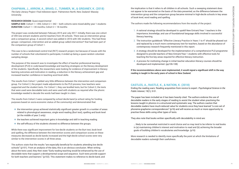### **Chapman, J., Arrow, A., Braid, C., Tunmer, W., & Greaney, K. (2018)**

*The Early Literacy Project: Final milestone report*. Palmerston North, New Zealand: Massey University.

**Research design:** Quasi-experimental

**Sample size:** Cohort 1 = 359, Cohort 2 = 342 – both cohorts were mixed-ability year 1 students **Duration:** Cohort 1 = 30 months, Cohort 2 = 18 months

The project was conducted between February 2015 and July 2017. Initially, there was one cohort of 359 new entrant students and 62 teachers from 39 schools. There was an intervention group and a comparison group. A second cohort was added in 2016 with 342 students. This had three groups: comparison, intervention and an added group called intervention\* that had been part of the comparison group of Cohort 1.

This was to be a randomised control trial (RCT) research project, but because of issues with the number of schools that volunteered to participate, it ended up being a quasi-random volunteer sampling design.

The purpose of the research was to investigate the effect of teacher professional learning development (PLD) in code-based knowledge and teaching strategies on the literacy development of the students. Specifically, the researchers were looking for evidence of improvement in literacy learning outcomes and motivation in reading, a reduction in the literacy achievement gap and increased teacher confidence in teaching word level skills.

The results from Cohort 1 yielded very little difference between the intervention and comparison group. For Cohort 2, the project made adjustments to the PLD process, how teachers were supported and the student texts. For Cohort 1, they use levelled texts, but for Cohort 2, the texts that were used were decodable texts and were used with students as required after the phonic knowledge needed to decode the words had been taught in class.

The results from Cohort 2 were compared by school decile band (a school rating for funding purposes based on socio-economic status of the community) and demonstrated that:

- ❖ the intervention group achieved statistically significant greater growth in a number of areas related to phonological awareness, single word reading (Burt test), spelling and book level (at the middle of year 2 only)
- ❖ the teachers achieved important gains in knowledge and skill in teaching reading
- ❖ the self-efficacy of the students showed no difference between the groups.

While there was significant improvement for low-decile students on the Burt test, book level and spelling, the difference between the intervention scores and comparison scores on these measures decreased as decile bands increased and the high-decile school scores were very similar to the intervention scores in all three areas.

The authors state that the results "are especially beneficial for students attending low decile schools" (p101). From an analysis of the data, this is an obvious conclusion. When writing about the texts used, they then state "Early reading teaching would be enhanced by the use of decodable texts that support a developmental scope and sequence. Such texts provide support for both teachers and learners." (p102). This statement makes no reference to decile band, and

the implication is that it refers to all children in all schools. Such a sweeping statement does not appear to be warranted on the basis of the data presented, as the difference between the intervention group and the comparison group became minimal in high-decile schools in key areas of book level, word reading and spelling.

The authors made the following recommendations from the results of the project:

and replaced by a much more contemporary text for teachers, based on the abundance of

- 1. A national strategy should be developed to upskill New Entrant/Year 1 teachers in the importance, knowledge, and use of foundational language skills involved in successful literacy learning.
- 2. The instruction guidebook "Effective Literacy Practice in Years 1 to 4" should be phased out contemporary research frequently mentioned in this report.
- designed to provide teachers of New Entrant/Year 1 students with effective tools for teaching the five key areas required for effective literacy instruction.
- 4. A process for instituting change in initial teacher education literacy courses should be developed and implemented. (pp106-108)

3. A strategy should be developed for the implementation of a comprehensive PLD programme

**If the recommendations above were implemented, it would signal a significant shift in the way reading is taught in the early years of school in New Zealand.**

### **Castles, A., Rastle, K., & Nation, K. (2018)**

Ending the reading wars: Reading acquisition from novice to expert. *Psychological Science in the Public Interest*, 19(1), 5-51.

The paper has been included as it has been heavily cited. The authors endorse the use of decodable readers in the early stages of reading to assist the student when practising the lessons taught in phonics in a structured and systematic way. The authors caution that decodable readers have much-reduced value for students once they have learned "a core set of phoneme-grapheme correspondences" (p16) and will receive as much or more opportunity to practise these skills using other types of texts.

They also note that books written specifically with decodability in mind are:

… likely to be somewhat restricted in word choice and so may tend to be inferior to real books in (a) maintaining children's interest and motivation to read and (b) achieving the broader goals of building children's vocabularies and knowledge. (p16)

More research is needed to identify more specifically the point at which the limitations of decodable readers outweigh their usefulness.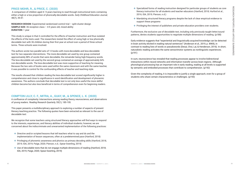### **Price-Mohr, R., & Price, C. (2020)**

**Research design:** Experimental randomised control trial – split-cluster design **Sample size:** 36 reception class – 4-5 years old, mixed ability **DURATION: 1 year** 

A comparison of children aged 4–5 years learning to read through instructional texts containing either a high or a low proportion of phonically-decodable words. *Early Childhood Education Journal*, 48(7), 39-47.

This study is unique in that it controlled for the effects of teacher instruction and thus isolated the effects of the texts used. The researchers tested the effect of using high or low phonically decodable text with 36 children during their first year at school over a period of three school terms. Three schools were involved.

The authors wrote two parallel sets of 12 books with more-decodable and less-decodable text for two separate interventions. The more-decodable set used by one group contained approximately 88% of words that were decodable, the remainder being high-frequency words. The less-decodable set used by the second group contained an average of approximately 64% non-decodable words. The less-decodable text was more supportive of teaching for meaning. Because the two sets of books were used within the same classroom and with the same teacher, it was possible to control for the confounding effects of teacher and teaching style.

The results showed that children reading the less-decodable text scored significantly higher in comprehension and close to significance in word identification and development of phonemic awareness. The authors conclude that decodable text is not only less useful the more skilful children become but also less beneficial in terms of comprehension even for beginning readers.

### **Compton Lilly, C. F., Mitra, A., Guay, M., & Spence, L. K. (2020)**

A confluence of complexity: Intersections among reading theory, neuroscience, and observations of young readers. *Reading Research Quarterly*, 55(1), 185-195.

This paper presents a multidisciplinary approach to exploring a number of aspects of present literacy teaching practice. The following quotes have been extracted as relevant to the use of decodable text:

We recognize that some teachers using structured literacy approaches will find ways to respond to the interests, experiences, and literacy abilities of individual students; however, we are concerned about the indiscriminate and unwarranted implementation of the following practices:

- ❖ Directive and/or scripted lessons that tell teachers what to say and do and the implementation of lesson sequences, often at a predetermined pace (Hanford, 2018)
- ❖ Privileging of phonemic awareness and phonics as primary decoding skills (Hanford, 2018, 2019; IDA, 2019; Paige, 2020; Pierson, n.d.; Spear-Swerling, 2019)
- ❖ Use of decodable texts that do not engage multiple dimensions of reading (Hanford, 2018; IDA, 2019; Paige, 2020; Spear-Swerling, 2019)
- ❖ Specialized forms of reading instruction designed for particular groups of students as core literacy instruction for all students and teacher educators (Hanford, 2018; Hurford et al., 2016; IDA, 2019; Pierson, n.d.)
- ❖ Mandating structured literacy programs despite the lack of clear empirical evidence to support these programs
- ❖ Privileging the interest of publishers and private education providers over students.

Furthermore, the exclusive use of decodable text, including only previously taught letter/sound patterns, denies students opportunities to negotiate multiple dimensions of reading. (p188)

Early evidence suggests that "experiential and linguistically acquired knowledge can be detected in brain activity elicited in reading natural sentences" (Anderson et al., 2019, p. 8969), in contrast to reading lists of words or pseudowords (Desai, Choi, Lai, & Henderson, 2016). In short, naturalistic reading activates the same sensorimotor systems as nonlinguistic experiences. (p191)

In sum, neuroscience has revealed that reading processes appear to involve bidirectional interactions within neural networks and information transfer across brain regions. Although phonological processing has an important role in early reading, reading at all levels is supported by semantic and embodied processes that contribute to comprehension. (p192)

Given the complexity of reading, it is impossible to justify a single approach, even for a group of students who share certain characteristics or challenges. (p193)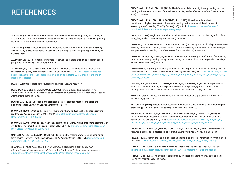**Adams, M. (2011).** The relation between alphabetic basics, word recognition, and reading. In S. J. Samuels & A. E. Farstrup (Eds.), *What research has to say about reading instruction* (pp4-24). Newark, DE: International Reading Association.

**Adams, M. (2008).** Decodable text: Why, when, and how? In E. H. Hiebert & M. Sailors (Eds.), *Finding the right texts: What works for beginning and struggling readers* (pp23-46). New York, NY: Guilford Press.

**Allington, R. (2013).** What really matters for struggling readers: Designing research-based programs. *The Reading Teacher*, 6(7), 520-530.

**Allington, R., & Woodside-Jiron, H. (1998).** Decodable text in beginning reading: Are mandates and policy based on research? *ERS Spectrum*, 16(2), 3-11. www.researchgate.net/ publication/234584457\_Decodable\_Text\_in\_Beginning\_Reading\_Are\_Mandates\_and\_Policy\_ Based\_on\_Research

**Beck, I. L. (1997).** Response to "overselling phonics." *Reading Today*, 17.

**Beverly, B. L., Giles, R. M., & Buck, K. L. (2009).** First-grade reading gains following enrichment: Phonics plus decodable texts compared to authentic literature read aloud. *Reading Improvement*, 46(4), 191-205.

**Bogan, B. L. (2012).** Decodable and predictable texts: Forgotten resources to teach the beginning reader. *Journal of Arts and Commerce*, 1(6), 1-8.

**Brown, K. (1999).** What kind of text—for whom and when? Textual scaffolding for beginning readers. *The Reading Teacher*, 53(4), 292-307. uurc.utah.edu/General/Research/Brown-ReadTchr%2053(4)-1999Dc.pdf

**Brown, K. (2003).** What do I say when they get stuck on a word? Aligning teachers' prompts with students' development. *The Reading Teacher*, 56(8), 720-733. uurc.utah.edu/General/Research/ Brown-ReadTchr%2056(8)-2003My.pdf

**Castles, A., Rastle, K., & Nation, K. (2018).** Ending the reading wars: Reading acquisition from novice to expert. *Psychological Science in the Public Interest*, 19(1), 5-51. journals.sagepub. com/doi/10.1177/1529100618772271

**Chapman J., Arrow, A., Braid, C., Tunmer, W., & Greaney, K. (2018).** *The Early Literacy Project: Final milestone report*. Palmerston North, New Zealand: Massey University. educationcounts.govt.nz/publications/schooling/early-literacy-research-project

## REFERENCES

**Cheatham, J. P., & Allor, J. H. (2012).** The influence of decodability in early reading text on reading achievement: A review of the evidence. *Reading and Writing: An Interdisciplinary Journal*, 25(9), 2223-2246.

**Cheatham, J. P., Allor, J. H., & Roberts, J. K. (2013).** How does independent practice of multiple-criteria text influence the reading performance and development of second graders? *Learning Disability Quarterly*, 37(1), 3-14. citeseerx.ist.psu.edu/viewdoc/ download?doi=10.1.1.886.4699&rep=rep1&type=pdf

**Cole, A. D. (1998).** Beginner-oriented texts in literature-based classrooms: The segue for a few struggling readers. *The Reading Teacher*, 51(6), 488-501.

**Compton, D. L., Appleton, A. C., & Hosp, M. K. (2004).** Exploring the relationship between textlevelling systems and reading accuracy and fluency in second-grade students who are average and poor readers. *Learning Disabilities Research and Practice*, 19(3), 176-184

**Compton Lilly, C. F., Mitra, A., Guay, M., & Spence, L. K. (2020).** A confluence of complexity: Intersections among reading theory, neuroscience, and observations of young readers. *Reading Research Quarterly*, 55(1), 185-195.

**Cunningham, A. (2006).** Accounting for children's orthographic learning while reading text: Do children self-teach? *Journal of Experimental Child Psychology*, 95(1), 56-77. www.researchgate.net/ publication/7067788\_Accounting\_for\_children's\_orthographic\_learning\_while\_reading\_text\_Do\_ children\_self-teach

**Denton, A. C., Fletcher, J., Taylor, P., Barth, A., & Vaughn, S. (2014).** An experimental evaluation of guided reading and explicit interventions for primary-grade students at-risk for reading difficulties. *Journal of Research on Educational Effectiveness*, 7(3), 268-293.

**Ehri, L. C. (1995).** Phases of development in learning to read by sight. *Journal of Research in Reading*, 18(2), 116-125.

**Felton, R. H. (1993).** Effects of instruction on the decoding skills of children with phonologicalprocessing problems. *Journal of Learning Disabilities*, 26(9), 583-589.

**Foorman, B., Francis, D., Fletcher, J., Schatschneider, C., & Mehta, P. (1998).** The role of instruction in learning to read: Preventing reading failure in at-risk children. *Journal of Educational Psychology,* 90(1), 37-55. researchgate.net/publication/232515872\_The\_Role\_of\_ Instruction\_in\_Learning\_to\_Read\_Preventing\_Reading\_Failure\_in\_At-Risk\_Children

**Foorman, B., Francis, K., Davidson, M., Harm, M., & Griffin, J. (2004).** Variability in text features in six grade 1 basal reading programs. *Scientific Studies in Reading*, 8(2), 167-197.

**Frey, R. (2012).** Rethinking the role of decodable texts in early literacy instruction (Unpublished PhD thesis). digitalassets.lib.berkeley.edu/etd/ucb/text/Frey\_berkeley\_0028E\_12875.pdf

**Hiebert, E. H. (1999).** Text matters in learning to read. *The Reading Teacher*, 52(6), 552-566. textproject.org/assets/library/papers/Hiebert-1999-Text-matters-in-learning-to-read.pdf

**Hiebert, E. H. (2005).** The effects of text difficulty on second graders' fluency development. *Reading Psychology,* 26(2), 183-209.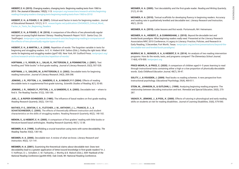**Hiebert, E. H. (2015).** Changing readers, changing texts: Beginning reading texts from 1960 to 2010. *The Journal of Education*, 195(3), 1-13. textproject.org/researchers/research-articles/beginningreading/changing-readers-changing-texts-beginning-reading-texts-from-1960-to-2010/

**Hiebert, E. H., & Fisher, C. W. (2007).** Critical word factor in texts for beginning readers. *Journal of Educational Research*, 101(1), 3-11. researchgate.net/publication/254345623\_Critical\_Word\_ Factor\_in\_Texts\_for\_Beginning\_Readers

**Hiebert, E. H., & Fisher, C. W. (2016).** *A comparison of the effects of two phonetically regular text types on young English learners' literacy*. Reading Research Report 16.01. Santa Cruz, CA: TextProject. textproject.org/researchers/research-articles/beginning-reading/a-comparison-ofthe-effects-of-two-phonetically-regular-types-of-texts/

**JUEL, C., & ROPER-SCHNEIDER, D. (1985).** The influence of basal readers on first grade reading. *Reading Research Quarterly*, 20(2), 134-152.

**Hiebert, E. H., & Martin, L. A. (2008).** Repetition of words: The forgotten variable in texts for beginning and struggling readers. In E. H. Hiebert & M. Sailors (Eds.), *Finding the right texts: What works for beginning and struggling readers* (pp47-69). New York, NY: Guilford Press. textproject.org/ archive/research-article-vault/articles/repetition-of-words/

**Hoffman, J. V., Roser, N. L., Salas, R., Patterson, E., & Pennington, J. (2001).** Text levelling and "little books" in first-grade reading. *Journal of Literacy Research*, 33(3), 507-528.

**Hoffman, J. V., Sailors, M., & Patterson, E. U. (2002).** Decodable texts for beginning reading instruction. *Journal of Literacy Research*, 34(3), 269-298.

**Jenkins, J. R., Peyton, J. A., Sanders, E. A., & Vadasy, P. F. (2004).** Effects of reading decodable texts in supplemental first-grade tutoring. *Scientific Studies of Reading*, 8(1), 53-85.

**Jenkins, J. R., Vadasy, P., Peyton, J. A., & Sanders, E. A. (2003).** Decodable text – where to find it. *The Reading Teacher*, 57(2), 185-189.

**Mathes, P. G., Denton, C. A., Fletcher, J. M., Anthony, J. L., Francis, D. J., & SCHATSCHNEIDER, C. (2005).** The effects of theoretically different instruction and student characteristics on the skills of struggling readers. Reading Research Quarterly, 40(2), 148-182. **SOLITY, J., & VOUSDEN, J. (2009)**. Real books vs reading schemes: A new perspective from instructional psychology. *Educational Psychology,* 29(4), 469-511.

**Menon, S., & Hiebert, E. H. (2005).** A comparison of first graders' reading with little books or literature-based basal anthologies. *Reading Research Quarterly,* 40(1), 12-38.

**Mesmer, H. A. (1999).** Scaffolding a crucial transition using texts with some decodability. *The Reading Teacher,* 53(2), 130-142.

**Mesmer, H. A. (2000).** Decodable text: A review of what we know. *Literacy Research and Instruction*, 40(2), 121-141.

**Mesmer, H. A. (2001).** Examining the theoretical claims about decodable text: Does text decodability lead to a greater application of letter/sound knowledge in first-grade readers? In J. V. Hoffman, D. L. Schallert, C. M. Fairbanks, J. Worthy, & B. Maloch (Eds.), *50th Yearbook of the National Reading Conferenc*e (pp444-459). Oak Creek, WI: National Reading Conference.

**Mesmer, H. A. (2005).** Text decodability and the first-grade reader. *Reading and Writing Quarterly*, 21(1), 61-86.

**Mesmer, H. A. (2010).** Textual scaffolds for developing fluency in beginning readers: Accuracy and reading rate in qualitatively levelled and decodable text. *Literacy Research and Instruction*, 49(1), 20-39.

**Mesmer, H. A. (2019).** *Letter lessons and first words*. Portsmouth, NH: Heinemann.

**Mesmer, H. A., Hiebert, E., & Cunningham, J. (2010).** *Beyond the decodable text and leveled book paradigms: What beginning readers really need.* Presented at the Literacy Research Association/NRC 2010 Conference, A Legacy in Literacy: Practice, Policies, and Research in Early Reading, 3 December, Fort Worth, Texas. textproject.org/archive/presentations/beyond-thedecodable-text-and-leveled-book-paradigms/

**Murray, M. S., Munger, K. A., & Hiebert, E. H. (2014).** An analysis of two reading intervention programs: How do the words, texts, and programs compare? *The Elementary School Journal*, 114(4), 479-500. textproject.org

**Price-Mohr, R., & Price, C. (2020).** A comparison of children aged 4–5 years learning to read through instructional texts containing either a high or a low proportion of phonically-decodable words. *Early Childhood Education Journal*, 48(7), 39-47.

**Stein, M., Johnson, B., & Gutlohn, L. (1999).** Analyzing beginning reading programs: The relationship between decoding instruction and text. *Remedial and Special Education*, 20(5), 275- 287.

**Vadasy, P., Jenkins, J., & Pool, K. (2000).** Effects of tutoring in phonological and early reading skills on students at risk for reading disabilities. *Journal of Learning Disabilities*, 33(6), 579-590.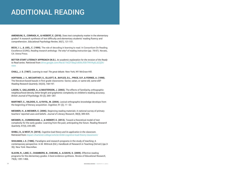**Amendum, S., Conradi, K., & Hiebert, E. (2018).** Does text complexity matter in the elementary grades? A research synthesis of text difficulty and elementary students' reading fluency and comprehension. *Educational Psychology Review*, 30(1), 121-151.

**BETTER START LITERACY APPROACH (N.D.).** An academic explanation for the revision of the Ready *to Read series*. Retrieved from drive.google.com/file/d/1hEZY3bqZvi83tLfIShTPAYAy8\_k2ZjDt/ view

**Beck, I. L., & Juel, C. (1999).** The role of decoding in learning to read. In Consortium On Reading Excellence (CORE), *Reading research anthology: The why? of reading instruction* (pp. 78-87). Novato, CA: Arena Press.

**MARTINET, C., VALDOIS, S., & FAYOL, M. (2004).** Lexical orthographic knowledge develops from the beginning of literacy acquisition. *Cognition*, 91 (2), 11–22.

**Chall, J. S. (1967).** *Learning to read: The great debate.* New York, NY: McGraw-Hill.

**Hoffman, J. V., McCarthey, S., Elliott, B., Bayles, D.L., Price, D.P., & Ferree, A. (1998).**  The literature-based basals in first grade classrooms: Savior, satan, or same-old, same-old? *Reading Research Quarterly*, 33(23), 168-197.

**Laxon, V., Gallagher, A., & Masterson, J. (2002).** The effects of familiarity, orthographic neighbourhood density, letter-length and graphemic complexity on children's reading accuracy. *British Journal of Psychology*, 93 (2), 269–287.

**Mesmer, H., & Mesmer, E. (2006).** Beginning reading materials: A national survey of primary teachers' reported uses and beliefs. *Journal of Literacy Research,* 38(4), 389-425.

**Mesmer, H., Cunningham, J., & Hiebert, E. (2012).** Toward a theoretical model of text complexity for the early grades: Learning from the past, anticipating the future. *Reading Research Quarterly*, 47(3), 235-285.

**Shibli, D., & West, R. (2018).** *Cognitive load theory and its application in the classroom.* Retrieved from impact.chartered.college/article/shibli-cognitive-load-theory-classroom/

**Shulman, L.S. (1986).** Paradigms and research programs in the study of teaching: A contemporary perspective. In M. Wittrock (Ed.), Handbook of Research in Teaching (3rd ed.) (pp.3- 36). New York: Macmillan.

**Slavin, R., Lake, C., Chambers, B., Cheung, A., & Davis, S. (2009).** Effective reading programs for the elementary grades: A best-evidence synthesis. *Review of Educational Research*, 79(4), 1391-1466.

## ADDITIONAL READING